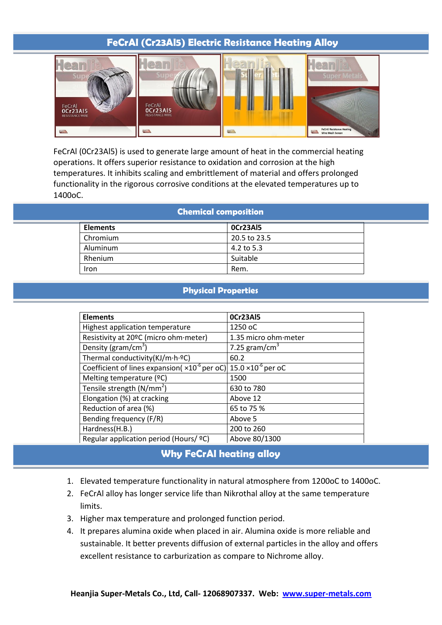## **FeCrAl (Cr23Al5) Electric Resistance Heating Alloy**



FeCrAl (0Cr23Al5) is used to generate large amount of heat in the commercial heating operations. It offers superior resistance to oxidation and corrosion at the high temperatures. It inhibits scaling and embrittlement of material and offers prolonged functionality in the rigorous corrosive conditions at the elevated temperatures up to 1400oC.

| <b>Chemical composition</b> |
|-----------------------------|
|                             |

| <b>Elements</b> | 0Cr23AI5     |  |
|-----------------|--------------|--|
| Chromium        | 20.5 to 23.5 |  |
| Aluminum        | 4.2 to 5.3   |  |
| Rhenium         | Suitable     |  |
| Iron            | Rem.         |  |

## **Physical Properties**

| <b>Elements</b>                                                                       | OCr23AI5                  |
|---------------------------------------------------------------------------------------|---------------------------|
| Highest application temperature                                                       | 1250 oC                   |
| Resistivity at 20°C (micro ohm meter)                                                 | 1.35 micro ohm meter      |
| Density ( $gram/cm3$ )                                                                | 7.25 gram/cm <sup>3</sup> |
| Thermal conductivity(KJ/m·h·ºC)                                                       | 60.2                      |
| Coefficient of lines expansion( $\times 10^{-6}$ per oC) 15.0 $\times 10^{-6}$ per oC |                           |
| Melting temperature (°C)                                                              | 1500                      |
| Tensile strength $(N/mm2)$                                                            | 630 to 780                |
| Elongation (%) at cracking                                                            | Above 12                  |
| Reduction of area (%)                                                                 | 65 to 75 %                |
| Bending frequency (F/R)                                                               | Above 5                   |
| Hardness(H.B.)                                                                        | 200 to 260                |
| Regular application period (Hours/ ºC)                                                | Above 80/1300             |

## **Why FeCrAl heating alloy**

- 1. Elevated temperature functionality in natural atmosphere from 1200oC to 1400oC.
- 2. FeCrAl alloy has longer service life than Nikrothal alloy at the same temperature limits.
- 3. Higher max temperature and prolonged function period.
- 4. It prepares alumina oxide when placed in air. Alumina oxide is more reliable and sustainable. It better prevents diffusion of external particles in the alloy and offers excellent resistance to carburization as compare to Nichrome alloy.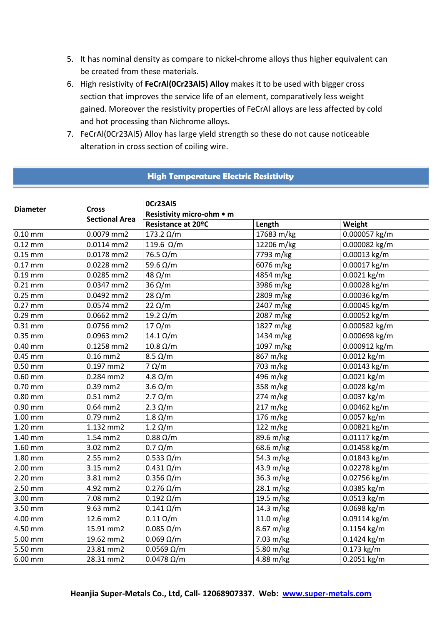- 5. It has nominal density as compare to nickel-chrome alloys thus higher equivalent can be created from these materials.
- 6. High resistivity of **FeCrAl(0Cr23Al5) Alloy** makes it to be used with bigger cross section that improves the service life of an element, comparatively less weight gained. Moreover the resistivity properties of FeCrAl alloys are less affected by cold and hot processing than Nichrome alloys.
- 7. FeCrAl(0Cr23Al5) Alloy has large yield strength so these do not cause noticeable alteration in cross section of coiling wire.

## **High Temperature Electric Resistivity**

| Resistivity micro-ohm • m<br><b>Sectional Area</b><br>Resistance at 20°C<br>Length<br>Weight<br>0.0079 mm2<br>17683 m/kg<br>0.000057 kg/m<br>$0.10$ mm<br>$173.2 \Omega/m$<br>12206 m/kg<br>$0.12$ mm<br>0.0114 mm2<br>119.6 Ω/m<br>0.000082 kg/m<br>7793 m/kg<br>$0.15$ mm<br>0.0178 mm2<br>$76.5 \Omega/m$<br>0.00013 kg/m<br>59.6 Ω/m<br>6076 m/kg<br>0.00017 kg/m<br>$0.17$ mm<br>0.0228 mm2<br>$0.19$ mm<br>0.0285 mm2<br>48 $\Omega/m$<br>4854 m/kg<br>0.0021 kg/m<br>$36 \Omega/m$<br>3986 m/kg<br>0.00028 kg/m<br>$0.21$ mm<br>0.0347 mm2<br>$28 \Omega/m$<br>2809 m/kg<br>0.00036 kg/m<br>$0.25$ mm<br>0.0492 mm2<br>22 $\Omega/m$<br>2407 m/kg<br>0.00045 kg/m<br>$0.27$ mm<br>0.0574 mm2<br>19.2 Ω/m<br>2087 m/kg<br>0.00052 kg/m<br>$0.29$ mm<br>0.0662 mm2<br>$17 \Omega/m$<br>1827 m/kg<br>0.000582 kg/m<br>$0.31$ mm<br>0.0756 mm2<br>1434 m/kg<br>0.000698 kg/m<br>0.35 mm<br>0.0963 mm2<br>$14.1 \Omega/m$<br>$10.8 \Omega/m$<br>1097 m/kg<br>$0.000912$ kg/m<br>0.1258 mm2<br>$0.40$ mm<br>$8.5 \Omega/m$<br>867 m/kg<br>0.0012 kg/m<br>$0.16$ mm $2$<br>$0.45$ mm<br>$7 \Omega/m$<br>0.197 mm2<br>703 m/kg<br>0.00143 kg/m<br>$0.50$ mm<br>4.8 $\Omega/m$<br>0.0021 kg/m<br>0.284 mm2<br>496 m/kg<br>$0.60$ mm<br>358 m/kg<br>0.0028 kg/m<br>0.39 mm2<br>$3.6 \Omega/m$<br>$0.70$ mm<br>$2.7 \Omega/m$<br>274 m/kg<br>0.0037 kg/m<br>$0.80$ mm<br>$0.51$ mm $2$<br>$0.90$ mm<br>0.64 mm2<br>$2.3 \Omega/m$<br>217 m/kg<br>0.00462 kg/m<br>176 m/kg<br>0.0057 kg/m<br>$1.00$ mm<br>0.79 mm2<br>$1.8 \Omega/m$<br>1.20 mm<br>1.132 mm2<br>$1.2 \Omega/m$<br>122 m/kg<br>0.00821 kg/m<br>$0.88 \Omega/m$<br>89.6 m/kg<br>0.01117 kg/m<br>1.40 mm<br>1.54 mm2<br>1.60 mm<br>$0.7 \Omega/m$<br>68.6 m/kg<br>0.01458 kg/m<br>3.02 mm2<br>$0.533 \Omega/m$<br>54.3 m/kg<br>1.80 mm<br>2.55 mm2<br>0.01843 kg/m<br>3.15 mm2<br>$0.431 \Omega/m$<br>43.9 m/kg<br>0.02278 kg/m<br>2.00 mm<br>36.3 m/kg<br>2.20 mm<br>3.81 mm2<br>$0.356 \Omega/m$<br>0.02756 kg/m<br>$0.276 \Omega/m$<br>28.1 m/kg<br>2.50 mm<br>4.92 mm2<br>0.0385 kg/m<br>19.5 m/kg<br>0.0513 kg/m<br>$0.192 \Omega/m$<br>3.00 mm<br>7.08 mm2<br>9.63 mm2<br>$0.141 \Omega/m$<br>14.3 m/kg<br>0.0698 kg/m<br>3.50 mm<br>12.6 mm2<br>$0.11 \Omega/m$<br>11.0 m/kg<br>0.09114 kg/m<br>4.00 mm<br>15.91 mm2<br>8.67 m/kg<br>0.1154 kg/m<br>4.50 mm<br>$0.085 \Omega/m$<br>7.03 m/kg<br>19.62 mm2<br>$0.069 \Omega/m$<br>0.1424 kg/m<br>5.00 mm<br>5.50 mm<br>23.81 mm2<br>$0.0569$ $\Omega/m$<br>5.80 m/kg<br>0.173 kg/m<br>6.00 mm<br>28.31 mm2<br>$0.0478 \Omega/m$<br>4.88 m/kg<br>0.2051 kg/m | <b>Diameter</b> |              | OCr23AI5 |  |  |  |
|---------------------------------------------------------------------------------------------------------------------------------------------------------------------------------------------------------------------------------------------------------------------------------------------------------------------------------------------------------------------------------------------------------------------------------------------------------------------------------------------------------------------------------------------------------------------------------------------------------------------------------------------------------------------------------------------------------------------------------------------------------------------------------------------------------------------------------------------------------------------------------------------------------------------------------------------------------------------------------------------------------------------------------------------------------------------------------------------------------------------------------------------------------------------------------------------------------------------------------------------------------------------------------------------------------------------------------------------------------------------------------------------------------------------------------------------------------------------------------------------------------------------------------------------------------------------------------------------------------------------------------------------------------------------------------------------------------------------------------------------------------------------------------------------------------------------------------------------------------------------------------------------------------------------------------------------------------------------------------------------------------------------------------------------------------------------------------------------------------------------------------------------------------------------------------------------------------------------------------------------------------------------------------------------------------------------------------------------------------------------------------------------------------------------------------------------------------------------------------------------------------------------------------------------------------------------------|-----------------|--------------|----------|--|--|--|
|                                                                                                                                                                                                                                                                                                                                                                                                                                                                                                                                                                                                                                                                                                                                                                                                                                                                                                                                                                                                                                                                                                                                                                                                                                                                                                                                                                                                                                                                                                                                                                                                                                                                                                                                                                                                                                                                                                                                                                                                                                                                                                                                                                                                                                                                                                                                                                                                                                                                                                                                                                           |                 | <b>Cross</b> |          |  |  |  |
|                                                                                                                                                                                                                                                                                                                                                                                                                                                                                                                                                                                                                                                                                                                                                                                                                                                                                                                                                                                                                                                                                                                                                                                                                                                                                                                                                                                                                                                                                                                                                                                                                                                                                                                                                                                                                                                                                                                                                                                                                                                                                                                                                                                                                                                                                                                                                                                                                                                                                                                                                                           |                 |              |          |  |  |  |
|                                                                                                                                                                                                                                                                                                                                                                                                                                                                                                                                                                                                                                                                                                                                                                                                                                                                                                                                                                                                                                                                                                                                                                                                                                                                                                                                                                                                                                                                                                                                                                                                                                                                                                                                                                                                                                                                                                                                                                                                                                                                                                                                                                                                                                                                                                                                                                                                                                                                                                                                                                           |                 |              |          |  |  |  |
|                                                                                                                                                                                                                                                                                                                                                                                                                                                                                                                                                                                                                                                                                                                                                                                                                                                                                                                                                                                                                                                                                                                                                                                                                                                                                                                                                                                                                                                                                                                                                                                                                                                                                                                                                                                                                                                                                                                                                                                                                                                                                                                                                                                                                                                                                                                                                                                                                                                                                                                                                                           |                 |              |          |  |  |  |
|                                                                                                                                                                                                                                                                                                                                                                                                                                                                                                                                                                                                                                                                                                                                                                                                                                                                                                                                                                                                                                                                                                                                                                                                                                                                                                                                                                                                                                                                                                                                                                                                                                                                                                                                                                                                                                                                                                                                                                                                                                                                                                                                                                                                                                                                                                                                                                                                                                                                                                                                                                           |                 |              |          |  |  |  |
|                                                                                                                                                                                                                                                                                                                                                                                                                                                                                                                                                                                                                                                                                                                                                                                                                                                                                                                                                                                                                                                                                                                                                                                                                                                                                                                                                                                                                                                                                                                                                                                                                                                                                                                                                                                                                                                                                                                                                                                                                                                                                                                                                                                                                                                                                                                                                                                                                                                                                                                                                                           |                 |              |          |  |  |  |
|                                                                                                                                                                                                                                                                                                                                                                                                                                                                                                                                                                                                                                                                                                                                                                                                                                                                                                                                                                                                                                                                                                                                                                                                                                                                                                                                                                                                                                                                                                                                                                                                                                                                                                                                                                                                                                                                                                                                                                                                                                                                                                                                                                                                                                                                                                                                                                                                                                                                                                                                                                           |                 |              |          |  |  |  |
|                                                                                                                                                                                                                                                                                                                                                                                                                                                                                                                                                                                                                                                                                                                                                                                                                                                                                                                                                                                                                                                                                                                                                                                                                                                                                                                                                                                                                                                                                                                                                                                                                                                                                                                                                                                                                                                                                                                                                                                                                                                                                                                                                                                                                                                                                                                                                                                                                                                                                                                                                                           |                 |              |          |  |  |  |
|                                                                                                                                                                                                                                                                                                                                                                                                                                                                                                                                                                                                                                                                                                                                                                                                                                                                                                                                                                                                                                                                                                                                                                                                                                                                                                                                                                                                                                                                                                                                                                                                                                                                                                                                                                                                                                                                                                                                                                                                                                                                                                                                                                                                                                                                                                                                                                                                                                                                                                                                                                           |                 |              |          |  |  |  |
|                                                                                                                                                                                                                                                                                                                                                                                                                                                                                                                                                                                                                                                                                                                                                                                                                                                                                                                                                                                                                                                                                                                                                                                                                                                                                                                                                                                                                                                                                                                                                                                                                                                                                                                                                                                                                                                                                                                                                                                                                                                                                                                                                                                                                                                                                                                                                                                                                                                                                                                                                                           |                 |              |          |  |  |  |
|                                                                                                                                                                                                                                                                                                                                                                                                                                                                                                                                                                                                                                                                                                                                                                                                                                                                                                                                                                                                                                                                                                                                                                                                                                                                                                                                                                                                                                                                                                                                                                                                                                                                                                                                                                                                                                                                                                                                                                                                                                                                                                                                                                                                                                                                                                                                                                                                                                                                                                                                                                           |                 |              |          |  |  |  |
|                                                                                                                                                                                                                                                                                                                                                                                                                                                                                                                                                                                                                                                                                                                                                                                                                                                                                                                                                                                                                                                                                                                                                                                                                                                                                                                                                                                                                                                                                                                                                                                                                                                                                                                                                                                                                                                                                                                                                                                                                                                                                                                                                                                                                                                                                                                                                                                                                                                                                                                                                                           |                 |              |          |  |  |  |
|                                                                                                                                                                                                                                                                                                                                                                                                                                                                                                                                                                                                                                                                                                                                                                                                                                                                                                                                                                                                                                                                                                                                                                                                                                                                                                                                                                                                                                                                                                                                                                                                                                                                                                                                                                                                                                                                                                                                                                                                                                                                                                                                                                                                                                                                                                                                                                                                                                                                                                                                                                           |                 |              |          |  |  |  |
|                                                                                                                                                                                                                                                                                                                                                                                                                                                                                                                                                                                                                                                                                                                                                                                                                                                                                                                                                                                                                                                                                                                                                                                                                                                                                                                                                                                                                                                                                                                                                                                                                                                                                                                                                                                                                                                                                                                                                                                                                                                                                                                                                                                                                                                                                                                                                                                                                                                                                                                                                                           |                 |              |          |  |  |  |
|                                                                                                                                                                                                                                                                                                                                                                                                                                                                                                                                                                                                                                                                                                                                                                                                                                                                                                                                                                                                                                                                                                                                                                                                                                                                                                                                                                                                                                                                                                                                                                                                                                                                                                                                                                                                                                                                                                                                                                                                                                                                                                                                                                                                                                                                                                                                                                                                                                                                                                                                                                           |                 |              |          |  |  |  |
|                                                                                                                                                                                                                                                                                                                                                                                                                                                                                                                                                                                                                                                                                                                                                                                                                                                                                                                                                                                                                                                                                                                                                                                                                                                                                                                                                                                                                                                                                                                                                                                                                                                                                                                                                                                                                                                                                                                                                                                                                                                                                                                                                                                                                                                                                                                                                                                                                                                                                                                                                                           |                 |              |          |  |  |  |
|                                                                                                                                                                                                                                                                                                                                                                                                                                                                                                                                                                                                                                                                                                                                                                                                                                                                                                                                                                                                                                                                                                                                                                                                                                                                                                                                                                                                                                                                                                                                                                                                                                                                                                                                                                                                                                                                                                                                                                                                                                                                                                                                                                                                                                                                                                                                                                                                                                                                                                                                                                           |                 |              |          |  |  |  |
|                                                                                                                                                                                                                                                                                                                                                                                                                                                                                                                                                                                                                                                                                                                                                                                                                                                                                                                                                                                                                                                                                                                                                                                                                                                                                                                                                                                                                                                                                                                                                                                                                                                                                                                                                                                                                                                                                                                                                                                                                                                                                                                                                                                                                                                                                                                                                                                                                                                                                                                                                                           |                 |              |          |  |  |  |
|                                                                                                                                                                                                                                                                                                                                                                                                                                                                                                                                                                                                                                                                                                                                                                                                                                                                                                                                                                                                                                                                                                                                                                                                                                                                                                                                                                                                                                                                                                                                                                                                                                                                                                                                                                                                                                                                                                                                                                                                                                                                                                                                                                                                                                                                                                                                                                                                                                                                                                                                                                           |                 |              |          |  |  |  |
|                                                                                                                                                                                                                                                                                                                                                                                                                                                                                                                                                                                                                                                                                                                                                                                                                                                                                                                                                                                                                                                                                                                                                                                                                                                                                                                                                                                                                                                                                                                                                                                                                                                                                                                                                                                                                                                                                                                                                                                                                                                                                                                                                                                                                                                                                                                                                                                                                                                                                                                                                                           |                 |              |          |  |  |  |
|                                                                                                                                                                                                                                                                                                                                                                                                                                                                                                                                                                                                                                                                                                                                                                                                                                                                                                                                                                                                                                                                                                                                                                                                                                                                                                                                                                                                                                                                                                                                                                                                                                                                                                                                                                                                                                                                                                                                                                                                                                                                                                                                                                                                                                                                                                                                                                                                                                                                                                                                                                           |                 |              |          |  |  |  |
|                                                                                                                                                                                                                                                                                                                                                                                                                                                                                                                                                                                                                                                                                                                                                                                                                                                                                                                                                                                                                                                                                                                                                                                                                                                                                                                                                                                                                                                                                                                                                                                                                                                                                                                                                                                                                                                                                                                                                                                                                                                                                                                                                                                                                                                                                                                                                                                                                                                                                                                                                                           |                 |              |          |  |  |  |
|                                                                                                                                                                                                                                                                                                                                                                                                                                                                                                                                                                                                                                                                                                                                                                                                                                                                                                                                                                                                                                                                                                                                                                                                                                                                                                                                                                                                                                                                                                                                                                                                                                                                                                                                                                                                                                                                                                                                                                                                                                                                                                                                                                                                                                                                                                                                                                                                                                                                                                                                                                           |                 |              |          |  |  |  |
|                                                                                                                                                                                                                                                                                                                                                                                                                                                                                                                                                                                                                                                                                                                                                                                                                                                                                                                                                                                                                                                                                                                                                                                                                                                                                                                                                                                                                                                                                                                                                                                                                                                                                                                                                                                                                                                                                                                                                                                                                                                                                                                                                                                                                                                                                                                                                                                                                                                                                                                                                                           |                 |              |          |  |  |  |
|                                                                                                                                                                                                                                                                                                                                                                                                                                                                                                                                                                                                                                                                                                                                                                                                                                                                                                                                                                                                                                                                                                                                                                                                                                                                                                                                                                                                                                                                                                                                                                                                                                                                                                                                                                                                                                                                                                                                                                                                                                                                                                                                                                                                                                                                                                                                                                                                                                                                                                                                                                           |                 |              |          |  |  |  |
|                                                                                                                                                                                                                                                                                                                                                                                                                                                                                                                                                                                                                                                                                                                                                                                                                                                                                                                                                                                                                                                                                                                                                                                                                                                                                                                                                                                                                                                                                                                                                                                                                                                                                                                                                                                                                                                                                                                                                                                                                                                                                                                                                                                                                                                                                                                                                                                                                                                                                                                                                                           |                 |              |          |  |  |  |
|                                                                                                                                                                                                                                                                                                                                                                                                                                                                                                                                                                                                                                                                                                                                                                                                                                                                                                                                                                                                                                                                                                                                                                                                                                                                                                                                                                                                                                                                                                                                                                                                                                                                                                                                                                                                                                                                                                                                                                                                                                                                                                                                                                                                                                                                                                                                                                                                                                                                                                                                                                           |                 |              |          |  |  |  |
|                                                                                                                                                                                                                                                                                                                                                                                                                                                                                                                                                                                                                                                                                                                                                                                                                                                                                                                                                                                                                                                                                                                                                                                                                                                                                                                                                                                                                                                                                                                                                                                                                                                                                                                                                                                                                                                                                                                                                                                                                                                                                                                                                                                                                                                                                                                                                                                                                                                                                                                                                                           |                 |              |          |  |  |  |
|                                                                                                                                                                                                                                                                                                                                                                                                                                                                                                                                                                                                                                                                                                                                                                                                                                                                                                                                                                                                                                                                                                                                                                                                                                                                                                                                                                                                                                                                                                                                                                                                                                                                                                                                                                                                                                                                                                                                                                                                                                                                                                                                                                                                                                                                                                                                                                                                                                                                                                                                                                           |                 |              |          |  |  |  |
|                                                                                                                                                                                                                                                                                                                                                                                                                                                                                                                                                                                                                                                                                                                                                                                                                                                                                                                                                                                                                                                                                                                                                                                                                                                                                                                                                                                                                                                                                                                                                                                                                                                                                                                                                                                                                                                                                                                                                                                                                                                                                                                                                                                                                                                                                                                                                                                                                                                                                                                                                                           |                 |              |          |  |  |  |
|                                                                                                                                                                                                                                                                                                                                                                                                                                                                                                                                                                                                                                                                                                                                                                                                                                                                                                                                                                                                                                                                                                                                                                                                                                                                                                                                                                                                                                                                                                                                                                                                                                                                                                                                                                                                                                                                                                                                                                                                                                                                                                                                                                                                                                                                                                                                                                                                                                                                                                                                                                           |                 |              |          |  |  |  |
|                                                                                                                                                                                                                                                                                                                                                                                                                                                                                                                                                                                                                                                                                                                                                                                                                                                                                                                                                                                                                                                                                                                                                                                                                                                                                                                                                                                                                                                                                                                                                                                                                                                                                                                                                                                                                                                                                                                                                                                                                                                                                                                                                                                                                                                                                                                                                                                                                                                                                                                                                                           |                 |              |          |  |  |  |
|                                                                                                                                                                                                                                                                                                                                                                                                                                                                                                                                                                                                                                                                                                                                                                                                                                                                                                                                                                                                                                                                                                                                                                                                                                                                                                                                                                                                                                                                                                                                                                                                                                                                                                                                                                                                                                                                                                                                                                                                                                                                                                                                                                                                                                                                                                                                                                                                                                                                                                                                                                           |                 |              |          |  |  |  |
|                                                                                                                                                                                                                                                                                                                                                                                                                                                                                                                                                                                                                                                                                                                                                                                                                                                                                                                                                                                                                                                                                                                                                                                                                                                                                                                                                                                                                                                                                                                                                                                                                                                                                                                                                                                                                                                                                                                                                                                                                                                                                                                                                                                                                                                                                                                                                                                                                                                                                                                                                                           |                 |              |          |  |  |  |
|                                                                                                                                                                                                                                                                                                                                                                                                                                                                                                                                                                                                                                                                                                                                                                                                                                                                                                                                                                                                                                                                                                                                                                                                                                                                                                                                                                                                                                                                                                                                                                                                                                                                                                                                                                                                                                                                                                                                                                                                                                                                                                                                                                                                                                                                                                                                                                                                                                                                                                                                                                           |                 |              |          |  |  |  |